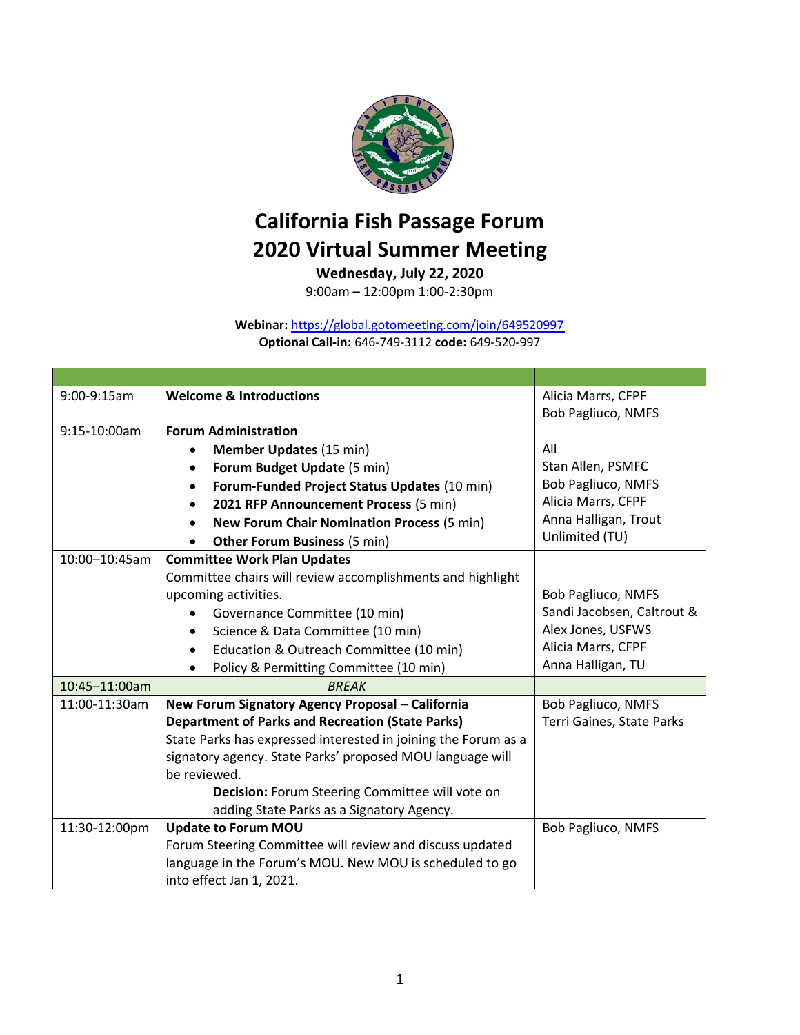

## **California Fish Passage Forum 2020 Virtual Summer Meeting**

**Wednesday, July 22, 2020**

9:00am – 12:00pm 1:00-2:30pm

## **Webinar:** <https://global.gotomeeting.com/join/649520997> **Optional Call-in:** 646-749-3112 **code:** 649-520-997

| 9:00-9:15am   | <b>Welcome &amp; Introductions</b>                             | Alicia Marrs, CFPF         |
|---------------|----------------------------------------------------------------|----------------------------|
|               |                                                                | <b>Bob Pagliuco, NMFS</b>  |
| 9:15-10:00am  | <b>Forum Administration</b>                                    |                            |
|               | <b>Member Updates (15 min)</b>                                 | All                        |
|               | Forum Budget Update (5 min)<br>$\bullet$                       | Stan Allen, PSMFC          |
|               | Forum-Funded Project Status Updates (10 min)<br>$\bullet$      | <b>Bob Pagliuco, NMFS</b>  |
|               | 2021 RFP Announcement Process (5 min)                          | Alicia Marrs, CFPF         |
|               | <b>New Forum Chair Nomination Process (5 min)</b><br>$\bullet$ | Anna Halligan, Trout       |
|               | <b>Other Forum Business (5 min)</b><br>$\bullet$               | Unlimited (TU)             |
| 10:00-10:45am | <b>Committee Work Plan Updates</b>                             |                            |
|               | Committee chairs will review accomplishments and highlight     |                            |
|               | upcoming activities.                                           | Bob Pagliuco, NMFS         |
|               | Governance Committee (10 min)                                  | Sandi Jacobsen, Caltrout & |
|               | Science & Data Committee (10 min)<br>$\bullet$                 | Alex Jones, USFWS          |
|               | Education & Outreach Committee (10 min)                        | Alicia Marrs, CFPF         |
|               | Policy & Permitting Committee (10 min)                         | Anna Halligan, TU          |
| 10:45-11:00am | <b>BREAK</b>                                                   |                            |
| 11:00-11:30am | New Forum Signatory Agency Proposal - California               | <b>Bob Pagliuco, NMFS</b>  |
|               | <b>Department of Parks and Recreation (State Parks)</b>        | Terri Gaines, State Parks  |
|               | State Parks has expressed interested in joining the Forum as a |                            |
|               | signatory agency. State Parks' proposed MOU language will      |                            |
|               | be reviewed.                                                   |                            |
|               | Decision: Forum Steering Committee will vote on                |                            |
|               | adding State Parks as a Signatory Agency.                      |                            |
| 11:30-12:00pm | <b>Update to Forum MOU</b>                                     | Bob Pagliuco, NMFS         |
|               | Forum Steering Committee will review and discuss updated       |                            |
|               | language in the Forum's MOU. New MOU is scheduled to go        |                            |
|               | into effect Jan 1, 2021.                                       |                            |